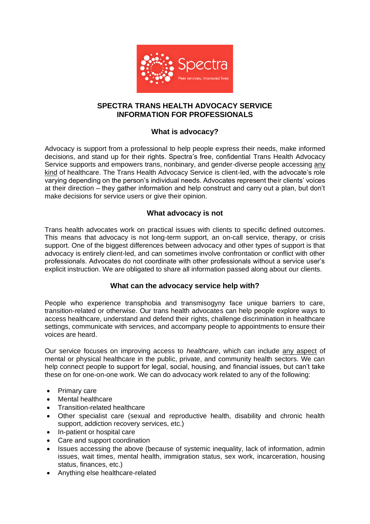

# **SPECTRA TRANS HEALTH ADVOCACY SERVICE INFORMATION FOR PROFESSIONALS**

# **What is advocacy?**

Advocacy is support from a professional to help people express their needs, make informed decisions, and stand up for their rights. Spectra's free, confidential Trans Health Advocacy Service supports and empowers trans, nonbinary, and gender-diverse people accessing any kind of healthcare. The Trans Health Advocacy Service is client-led, with the advocate's role varying depending on the person's individual needs. Advocates represent their clients' voices at their direction – they gather information and help construct and carry out a plan, but don't make decisions for service users or give their opinion.

# **What advocacy is not**

Trans health advocates work on practical issues with clients to specific defined outcomes. This means that advocacy is not long-term support, an on-call service, therapy, or crisis support. One of the biggest differences between advocacy and other types of support is that advocacy is entirely client-led, and can sometimes involve confrontation or conflict with other professionals. Advocates do not coordinate with other professionals without a service user's explicit instruction. We are obligated to share all information passed along about our clients.

# **What can the advocacy service help with?**

People who experience transphobia and transmisogyny face unique barriers to care, transition-related or otherwise. Our trans health advocates can help people explore ways to access healthcare, understand and defend their rights, challenge discrimination in healthcare settings, communicate with services, and accompany people to appointments to ensure their voices are heard.

Our service focuses on improving access to *healthcare*, which can include any aspect of mental or physical healthcare in the public, private, and community health sectors. We can help connect people to support for legal, social, housing, and financial issues, but can't take these on for one-on-one work. We can do advocacy work related to any of the following:

- Primary care
- Mental healthcare
- Transition-related healthcare
- Other specialist care (sexual and reproductive health, disability and chronic health support, addiction recovery services, etc.)
- In-patient or hospital care
- Care and support coordination
- Issues accessing the above (because of systemic inequality, lack of information, admin issues, wait times, mental health, immigration status, sex work, incarceration, housing status, finances, etc.)
- Anything else healthcare-related